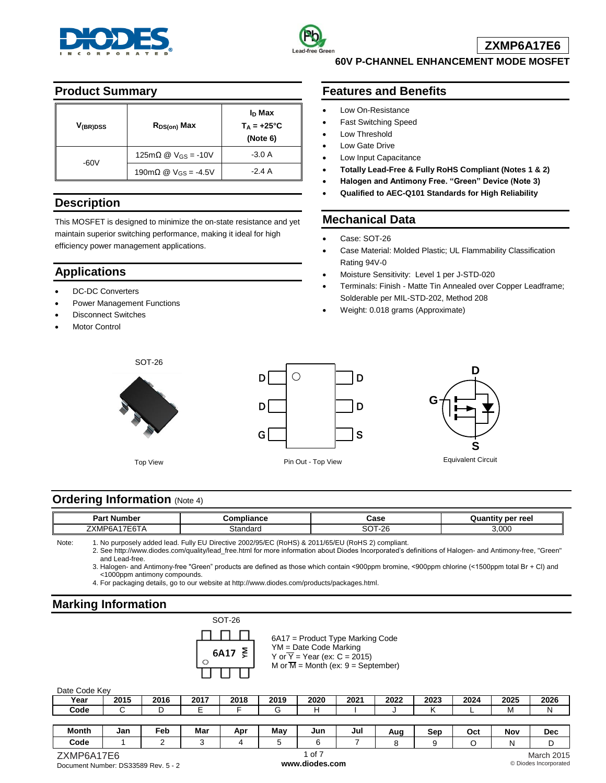



**60V P-CHANNEL ENHANCEMENT MODE MOSFET**

## **Product Summary**

| V <sub>(BR)DSS</sub> | $R_{DS(on)}$ Max                        | I <sub>D</sub> Max<br>$T_A = +25^{\circ}C$<br>(Note 6) |
|----------------------|-----------------------------------------|--------------------------------------------------------|
| -60V                 | 125mΩ @ $V_{GS}$ = -10V                 | $-3.0A$                                                |
|                      | 190m $\Omega$ @ V <sub>GS</sub> = -4.5V | $-2.4A$                                                |

## **Description**

This MOSFET is designed to minimize the on-state resistance and yet maintain superior switching performance, making it ideal for high efficiency power management applications.

# **Applications**

- DC-DC Converters
- Power Management Functions
- Disconnect Switches
- Motor Control





SOT-26

### **Features and Benefits**

- Low On-Resistance
- Fast Switching Speed
- Low Threshold
- Low Gate Drive
- Low Input Capacitance
- **Totally Lead-Free & Fully RoHS Compliant (Notes 1 & 2)**
- **Halogen and Antimony Free. "Green" Device (Note 3)**
- **Qualified to AEC-Q101 Standards for High Reliability**

## **Mechanical Data**

Case: SOT-26

D

D

S

- Case Material: Molded Plastic; UL Flammability Classification Rating 94V-0
- Moisture Sensitivity: Level 1 per J-STD-020
- Terminals: Finish Matte Tin Annealed over Copper Leadframe; Solderable per MIL-STD-202, Method 208
- Weight: 0.018 grams (Approximate)



Pin Out - Top View **Equivalent Circuit** 

## **Ordering Information (Note 4)**

| '⊶د ف<br>ы<br>шc                                                             | .<br>.<br>. | Case                        | per reel |
|------------------------------------------------------------------------------|-------------|-----------------------------|----------|
| 7 <sup>1</sup><br>$-$<br>∠xMP <sup>r</sup> ″<br><b>UNII</b><br>ີ∟ບ⊥ <i>⊓</i> | 3tandard    | $\sim$<br>$\sim$<br>71 - 20 | .000     |

Note: 1. No purposely added lead. Fully EU Directive 2002/95/EC (RoHS) & 2011/65/EU (RoHS 2) compliant. 2. See [http://www.diodes.com/quality/lead\\_free.html](http://www.diodes.com/quality/lead_free.html) for more information about Diodes Incorporated's definitions of Halogen- and Antimony-free, "Green"

and Lead-free.

3. Halogen- and Antimony-free "Green" products are defined as those which contain <900ppm bromine, <900ppm chlorine (<1500ppm total Br + Cl) and <1000ppm antimony compounds.

4. For packaging details, go to our website at [http://www.diodes.com/products/packages.html.](http://www.diodes.com/products/packages.html)

# **Marking Information**

| SOT-26 |   |
|--------|---|
| .      |   |
| 6A17   | ≷ |
|        |   |

6A17 = Product Type Marking Code YM = Date Code Marking Y or  $\overline{Y}$  = Year (ex: C = 2015) M or  $\overline{M}$  = Month (ex: 9 = September)

#### Date Code Key

| -------------- |      |      |      |      |      |      |      |      |      |      |      |      |
|----------------|------|------|------|------|------|------|------|------|------|------|------|------|
| Year           | 2015 | 2016 | 2017 | 2018 | 2019 | 2020 | 2021 | 2022 | 2023 | 2024 | 2025 | 2026 |
| Code           |      |      |      | -    |      |      |      |      |      |      | ΙVΙ  |      |
|                |      |      |      |      |      |      |      |      |      |      |      |      |

| <b>Month</b> | Jan<br>___ | Feb | Mar | Apr | May | Jun<br>___ | Jul | Aug | Sep | Oct | Nov | Dec |
|--------------|------------|-----|-----|-----|-----|------------|-----|-----|-----|-----|-----|-----|
| Code         |            |     |     |     |     |            |     |     |     |     |     |     |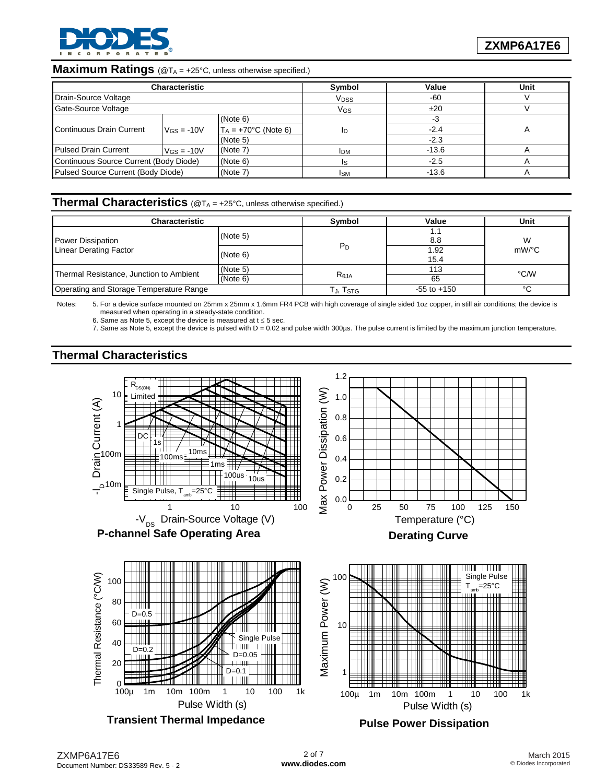

### **Maximum Ratings** (@T<sub>A</sub> = +25°C, unless otherwise specified.)

|                                                | <b>Characteristic</b>       |                         | Symbol                 | Value   | Unit |
|------------------------------------------------|-----------------------------|-------------------------|------------------------|---------|------|
| Drain-Source Voltage                           |                             |                         | <b>V<sub>DSS</sub></b> | $-60$   |      |
| <b>Gate-Source Voltage</b>                     |                             |                         | VGs                    | ±20     |      |
|                                                |                             | (Note 6)                |                        |         |      |
| Continuous Drain Current                       | $V$ <sub>GS</sub> = -10V    | $T_A = +70$ °C (Note 6) | ID                     | $-2.4$  |      |
|                                                |                             | (Note 5)                |                        | $-2.3$  |      |
| <b>Pulsed Drain Current</b>                    | (Note 7)<br>$V_{GS} = -10V$ |                         | <b>IDM</b>             | $-13.6$ |      |
| Continuous Source Current (Body Diode)         |                             | (Note 6)                | Is                     | $-2.5$  |      |
| Pulsed Source Current (Body Diode)<br>(Note 7) |                             |                         | Ism                    | $-13.6$ |      |

## **Thermal Characteristics** (@T<sup>A</sup> = +25°C, unless otherwise specified.)

| <b>Characteristic</b>                   | Symbol               | Value           | Unit        |          |
|-----------------------------------------|----------------------|-----------------|-------------|----------|
| Power Dissipation                       | (Note 5)             |                 | . .<br>8.8  | W        |
| <b>Linear Derating Factor</b>           | (Note 6)             | $P_D$           | .92<br>15.4 | $mW$ /°C |
| Thermal Resistance, Junction to Ambient | (Note 5)<br>(Note 6) | $R_{\theta$ JA  | 113<br>65   | °C/W     |
| Operating and Storage Temperature Range | TJ, Tstg             | $-55$ to $+150$ | °C          |          |

Notes: 5. For a device surface mounted on 25mm x 25mm x 1.6mm FR4 PCB with high coverage of single sided 1oz copper, in still air conditions; the device is measured when operating in a steady-state condition.

6. Same as Note 5, except the device is measured at  $t \le 5$  sec.

7. Same as Note 5, except the device is pulsed with D = 0.02 and pulse width 300µs. The pulse current is limited by the maximum junction temperature.

## **Thermal Characteristics**

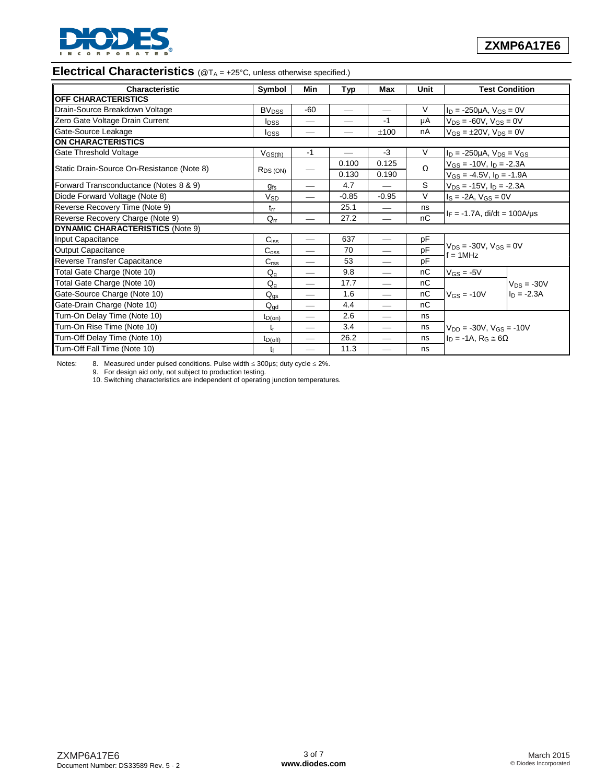

### **Electrical Characteristics** (@T<sub>A</sub> = +25°C, unless otherwise specified.)

| Characteristic                             | Symbol                   | Min                      | <b>Typ</b>                      | Max                             | Unit   |                                                | <b>Test Condition</b> |  |
|--------------------------------------------|--------------------------|--------------------------|---------------------------------|---------------------------------|--------|------------------------------------------------|-----------------------|--|
| <b>OFF CHARACTERISTICS</b>                 |                          |                          |                                 |                                 |        |                                                |                       |  |
| Drain-Source Breakdown Voltage             | <b>BV</b> <sub>DSS</sub> | -60                      |                                 | $\overbrace{\qquad \qquad }^{}$ | $\vee$ | $I_D = -250 \mu A$ , $V_{GS} = 0V$             |                       |  |
| Zero Gate Voltage Drain Current            | <b>I</b> <sub>DSS</sub>  |                          |                                 | -1                              | μA     | $V_{DS} = -60V$ , $V_{GS} = 0V$                |                       |  |
| Gate-Source Leakage                        | lgss                     |                          | $\hspace{0.1mm}-\hspace{0.1mm}$ | $+100$                          | nA     | $V_{GS} = \pm 20V$ , $V_{DS} = 0V$             |                       |  |
| <b>ON CHARACTERISTICS</b>                  |                          |                          |                                 |                                 |        |                                                |                       |  |
| Gate Threshold Voltage                     | $V_{GS(th)}$             | $-1$                     |                                 | -3                              | $\vee$ | $I_D = -250 \mu A$ , $V_{DS} = V_{GS}$         |                       |  |
|                                            |                          |                          | 0.100                           | 0.125                           | Ω      | $V_{GS} = -10V$ , $I_D = -2.3A$                |                       |  |
| Static Drain-Source On-Resistance (Note 8) | $R_{DS(ON)}$             |                          | 0.130                           | 0.190                           |        | $V_{GS} = -4.5V$ , $I_D = -1.9A$               |                       |  |
| Forward Transconductance (Notes 8 & 9)     | <b>gfs</b>               |                          | 4.7                             |                                 | S      | $V_{DS} = -15V$ , $I_D = -2.3A$                |                       |  |
| Diode Forward Voltage (Note 8)             | <b>V<sub>SD</sub></b>    |                          | $-0.85$                         | $-0.95$                         | $\vee$ | $I_S = -2A$ , $V_{GS} = 0V$                    |                       |  |
| Reverse Recovery Time (Note 9)             | $t_{rr}$                 |                          | 25.1                            |                                 | ns     |                                                |                       |  |
| Reverse Recovery Charge (Note 9)           | $Q_{rr}$                 |                          | 27.2                            |                                 | nC     | $I_F = -1.7A$ , di/dt = 100A/us                |                       |  |
| <b>DYNAMIC CHARACTERISTICS (Note 9)</b>    |                          |                          |                                 |                                 |        |                                                |                       |  |
| Input Capacitance                          | $C_{iss}$                |                          | 637                             |                                 | pF     |                                                |                       |  |
| Output Capacitance                         | $C_{\rm oss}$            |                          | 70                              | $\overline{\phantom{0}}$        | pF     | $V_{DS} = -30V$ , $V_{GS} = 0V$<br>$f = 1$ MHz |                       |  |
| Reverse Transfer Capacitance               | C <sub>rss</sub>         | $\overline{\phantom{0}}$ | 53                              |                                 | pF     |                                                |                       |  |
| Total Gate Charge (Note 10)                | $Q_{q}$                  |                          | 9.8                             | $\overline{\phantom{0}}$        | nC     | $V$ <sub>GS</sub> = -5V                        |                       |  |
| Total Gate Charge (Note 10)                | $Q_{\alpha}$             |                          | 17.7                            | $\overline{\phantom{0}}$        | nC     |                                                | $V_{DS} = -30V$       |  |
| Gate-Source Charge (Note 10)               | $Q_{\text{gs}}$          |                          | 1.6                             | $\overline{\phantom{0}}$        | nC     | $V_{GS} = -10V$                                | $I_D = -2.3A$         |  |
| Gate-Drain Charge (Note 10)                | $Q_{\text{ad}}$          | $\overline{\phantom{0}}$ | 4.4                             |                                 | nC     |                                                |                       |  |
| Turn-On Delay Time (Note 10)               | $t_{D(0n)}$              |                          | 2.6                             | $\overline{\phantom{0}}$        | ns     |                                                |                       |  |
| Turn-On Rise Time (Note 10)                | tr                       |                          | 3.4                             |                                 | ns     | $V_{DD} = -30V$ , $V_{GS} = -10V$              |                       |  |
| Turn-Off Delay Time (Note 10)              | $t_{D(off)}$             |                          | 26.2                            |                                 | ns     | $I_D = -1A$ , $R_G \approx 6\Omega$            |                       |  |
| Turn-Off Fall Time (Note 10)               | tŧ                       |                          | 11.3                            |                                 | ns     |                                                |                       |  |

Notes: 8. Measured under pulsed conditions. Pulse width  $\leq$  300µs; duty cycle  $\leq$  2%.

9. For design aid only, not subject to production testing.

10. Switching characteristics are independent of operating junction temperatures.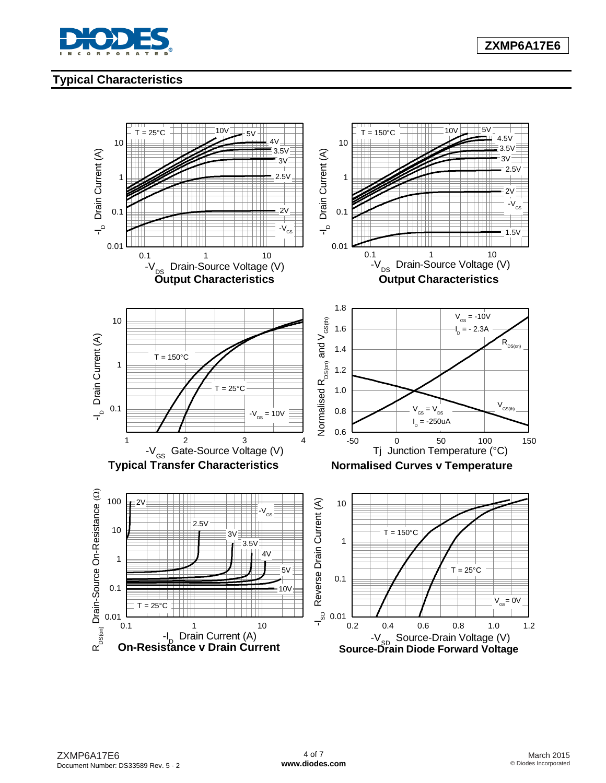

# **Typical Characteristics**

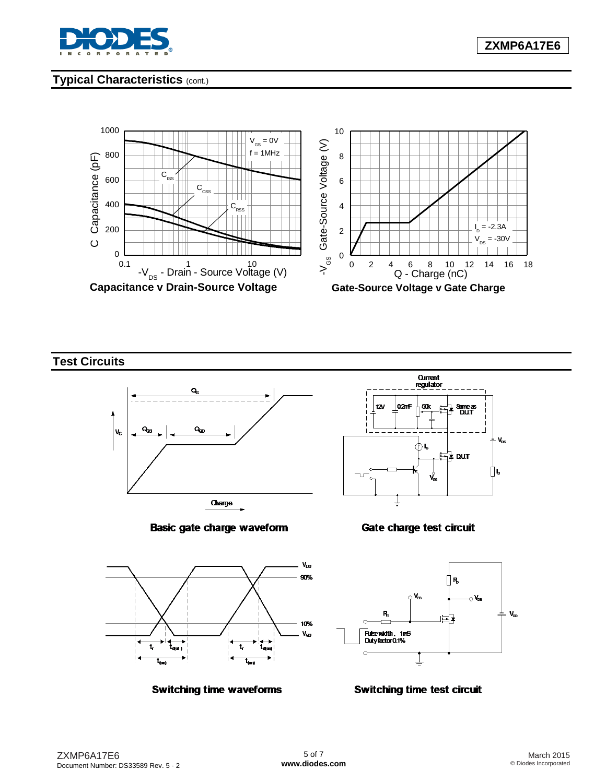

# **Typical Characteristics** (cont.)



**Test Circuits**







Gate charge test circuit







#### **Switching time test circuit**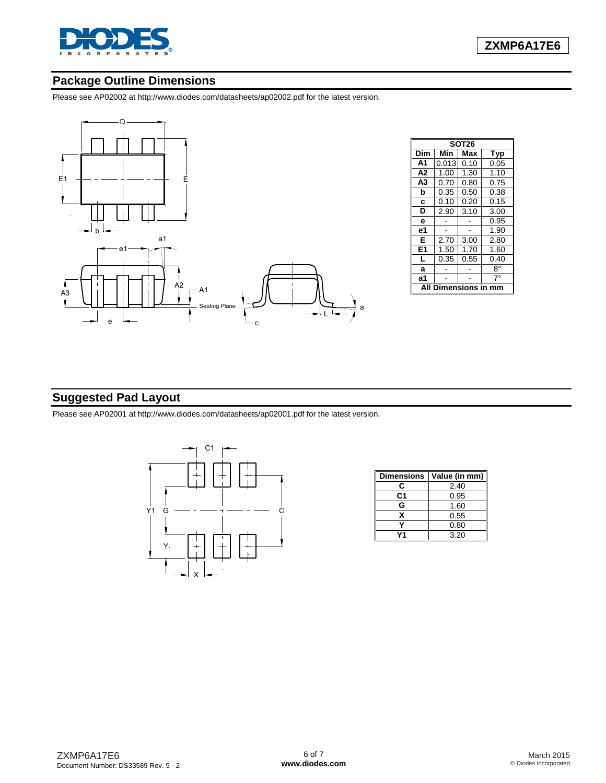

# **Package Outline Dimensions**

Please see AP02002 at [http://www.diodes.com/datasheets/ap02002.pdf fo](http://www.diodes.com/datasheets/ap02002.pdf)r the latest version.



|                |       | SOT <sub>26</sub> |      |
|----------------|-------|-------------------|------|
| Dim            | Min   | Max               | Typ  |
| A <sub>1</sub> | 0.013 | 0.10              | 0.05 |
| A2             | 1.00  | 1.30              | 1.10 |
| A3             | 0.70  | 0.80              | 0.75 |
| b              | 0.35  | 0.50              | 0.38 |
| c              | 0.10  | 0.20              | 0.15 |
| D              | 2.90  | 3.10              | 3.00 |
| e              |       |                   | 0.95 |
| е1             |       |                   | 1.90 |
| Е              | 2.70  | 3.00              | 2.80 |
| E1             | 1.50  | 1.70              | 1.60 |
| L              | 0.35  | 0.55              | 0.40 |
| a              |       |                   | 8°   |
| а1             |       |                   | 7°   |
|                |       | ensions           |      |

## **Suggested Pad Layout**

Please see AP02001 at [http://www.diodes.com/datasheets/ap02001.pdf fo](http://www.diodes.com/datasheets/ap02001.pdf)r the latest version.



| <b>Dimensions</b> | Value (in mm) |
|-------------------|---------------|
| С                 | 2.40          |
| C1                | 0.95          |
| G                 | 1.60          |
| x                 | 0.55          |
|                   | 0.80          |
|                   | 3.20          |